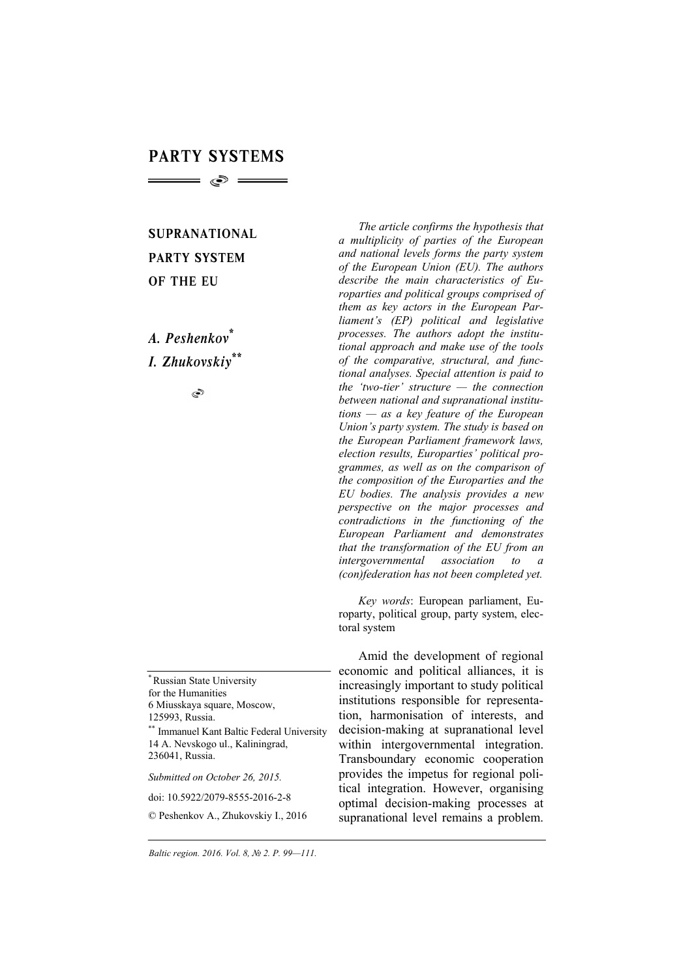# PARTY SYSTEMS  $\hspace{1.5cm} \bullet$   $\hspace{1.5cm}$

SUPRANATIONAL PARTY SYSTEM OF THE EU

*A. Peshenkov\* I. Zhukovskiy\*\**

Ò

\* Russian State University for the Humanities 6 Miusskaya square, Moscow, 125993, Russia. \*\* Immanuel Kant Baltic Federal University

14 A. Nevskogo ul., Kaliningrad, 236041, Russia.

*Submitted on October 26, 2015.* 

*The article confirms the hypothesis that a multiplicity of parties of the European and national levels forms the party system of the European Union (EU). The authors describe the main characteristics of Europarties and political groups comprised of them as key actors in the European Parliament's (EP) political and legislative processes. The authors adopt the institutional approach and make use of the tools of the comparative, structural, and functional analyses. Special attention is paid to the 'two-tier' structure — the connection between national and supranational institutions — as a key feature of the European Union's party system. The study is based on the European Parliament framework laws, election results, Europarties' political programmes, as well as on the comparison of the composition of the Europarties and the EU bodies. The analysis provides a new perspective on the major processes and contradictions in the functioning of the European Parliament and demonstrates that the transformation of the EU from an intergovernmental association to a (con)federation has not been completed yet.* 

*Key words*: European parliament, Europarty, political group, party system, electoral system

Amid the development of regional economic and political alliances, it is increasingly important to study political institutions responsible for representation, harmonisation of interests, and decision-making at supranational level within intergovernmental integration. Transboundary economic cooperation provides the impetus for regional political integration. However, organising optimal decision-making processes at supranational level remains a problem.

doi: 10.5922/2079-8555-2016-2-8

<sup>©</sup> Peshenkov A., Zhukovskiy I., 2016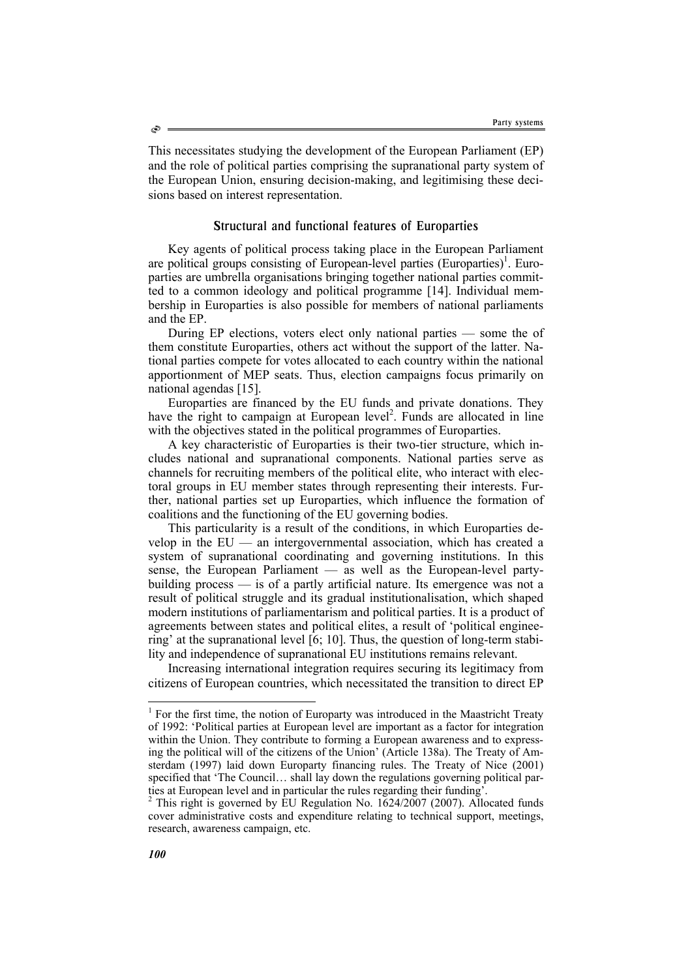This necessitates studying the development of the European Parliament (EP) and the role of political parties comprising the supranational party system of the European Union, ensuring decision-making, and legitimising these decisions based on interest representation.

## Structural and functional features of Europarties

Key agents of political process taking place in the European Parliament are political groups consisting of European-level parties (Europarties)<sup>1</sup>. Europarties are umbrella organisations bringing together national parties committed to a common ideology and political programme [14]. Individual membership in Europarties is also possible for members of national parliaments and the EP.

During EP elections, voters elect only national parties — some the of them constitute Europarties, others act without the support of the latter. National parties compete for votes allocated to each country within the national apportionment of MEP seats. Thus, election campaigns focus primarily on national agendas [15].

Europarties are financed by the EU funds and private donations. They have the right to campaign at European level<sup>2</sup>. Funds are allocated in line with the objectives stated in the political programmes of Europarties.

A key characteristic of Europarties is their two-tier structure, which includes national and supranational components. National parties serve as channels for recruiting members of the political elite, who interact with electoral groups in EU member states through representing their interests. Further, national parties set up Europarties, which influence the formation of coalitions and the functioning of the EU governing bodies.

This particularity is a result of the conditions, in which Europarties develop in the EU — an intergovernmental association, which has created a system of supranational coordinating and governing institutions. In this sense, the European Parliament — as well as the European-level partybuilding process — is of a partly artificial nature. Its emergence was not a result of political struggle and its gradual institutionalisation, which shaped modern institutions of parliamentarism and political parties. It is a product of agreements between states and political elites, a result of 'political engineering' at the supranational level [6; 10]. Thus, the question of long-term stability and independence of supranational EU institutions remains relevant.

Increasing international integration requires securing its legitimacy from citizens of European countries, which necessitated the transition to direct EP

 $\overline{a}$ 

 $<sup>1</sup>$  For the first time, the notion of Europarty was introduced in the Maastricht Treaty</sup> of 1992: 'Political parties at European level are important as a factor for integration within the Union. They contribute to forming a European awareness and to expressing the political will of the citizens of the Union' (Article 138a). The Treaty of Amsterdam (1997) laid down Europarty financing rules. The Treaty of Nice (2001) specified that 'The Council… shall lay down the regulations governing political parties at European level and in particular the rules regarding their funding'.

<sup>&</sup>lt;sup>2</sup> This right is governed by EU Regulation No. 1624/2007 (2007). Allocated funds cover administrative costs and expenditure relating to technical support, meetings, research, awareness campaign, etc.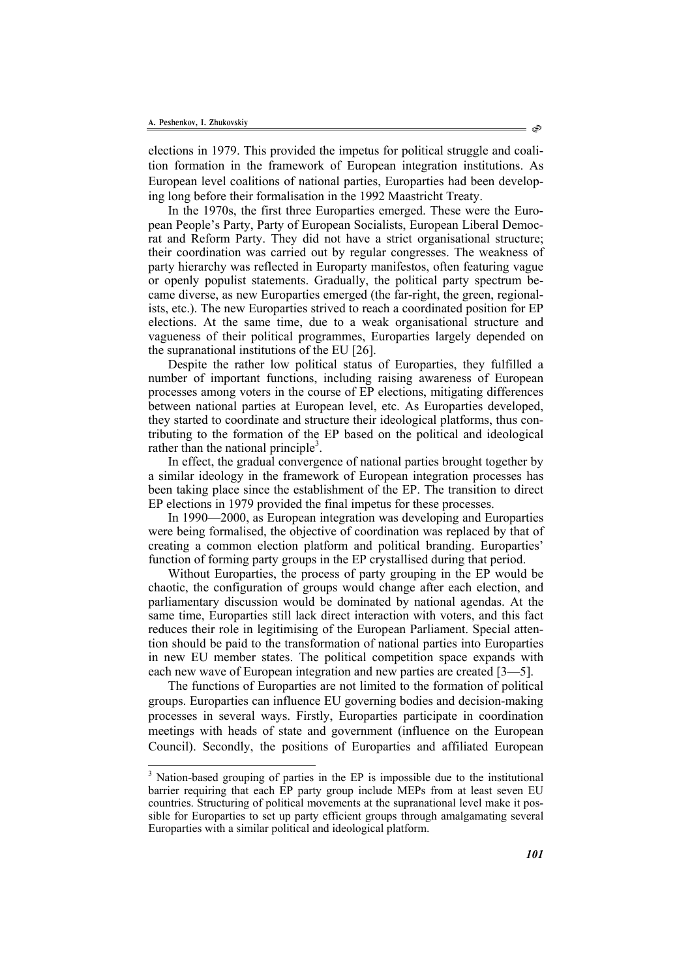l

elections in 1979. This provided the impetus for political struggle and coalition formation in the framework of European integration institutions. As European level coalitions of national parties, Europarties had been developing long before their formalisation in the 1992 Maastricht Treaty.

In the 1970s, the first three Europarties emerged. These were the European People's Party, Party of European Socialists, European Liberal Democrat and Reform Party. They did not have a strict organisational structure; their coordination was carried out by regular congresses. The weakness of party hierarchy was reflected in Europarty manifestos, often featuring vague or openly populist statements. Gradually, the political party spectrum became diverse, as new Europarties emerged (the far-right, the green, regionalists, etc.). The new Europarties strived to reach a coordinated position for EP elections. At the same time, due to a weak organisational structure and vagueness of their political programmes, Europarties largely depended on the supranational institutions of the EU [26].

Despite the rather low political status of Europarties, they fulfilled a number of important functions, including raising awareness of European processes among voters in the course of EP elections, mitigating differences between national parties at European level, etc. As Europarties developed, they started to coordinate and structure their ideological platforms, thus contributing to the formation of the EP based on the political and ideological rather than the national principle<sup>3</sup>.

In effect, the gradual convergence of national parties brought together by a similar ideology in the framework of European integration processes has been taking place since the establishment of the EP. The transition to direct EP elections in 1979 provided the final impetus for these processes.

In 1990—2000, as European integration was developing and Europarties were being formalised, the objective of coordination was replaced by that of creating a common election platform and political branding. Europarties' function of forming party groups in the EP crystallised during that period.

Without Europarties, the process of party grouping in the EP would be chaotic, the configuration of groups would change after each election, and parliamentary discussion would be dominated by national agendas. At the same time, Europarties still lack direct interaction with voters, and this fact reduces their role in legitimising of the European Parliament. Special attention should be paid to the transformation of national parties into Europarties in new EU member states. The political competition space expands with each new wave of European integration and new parties are created [3—5].

The functions of Europarties are not limited to the formation of political groups. Europarties can influence EU governing bodies and decision-making processes in several ways. Firstly, Europarties participate in coordination meetings with heads of state and government (influence on the European Council). Secondly, the positions of Europarties and affiliated European

<sup>&</sup>lt;sup>3</sup> Nation-based grouping of parties in the EP is impossible due to the institutional barrier requiring that each EP party group include MEPs from at least seven EU countries. Structuring of political movements at the supranational level make it possible for Europarties to set up party efficient groups through amalgamating several Europarties with a similar political and ideological platform.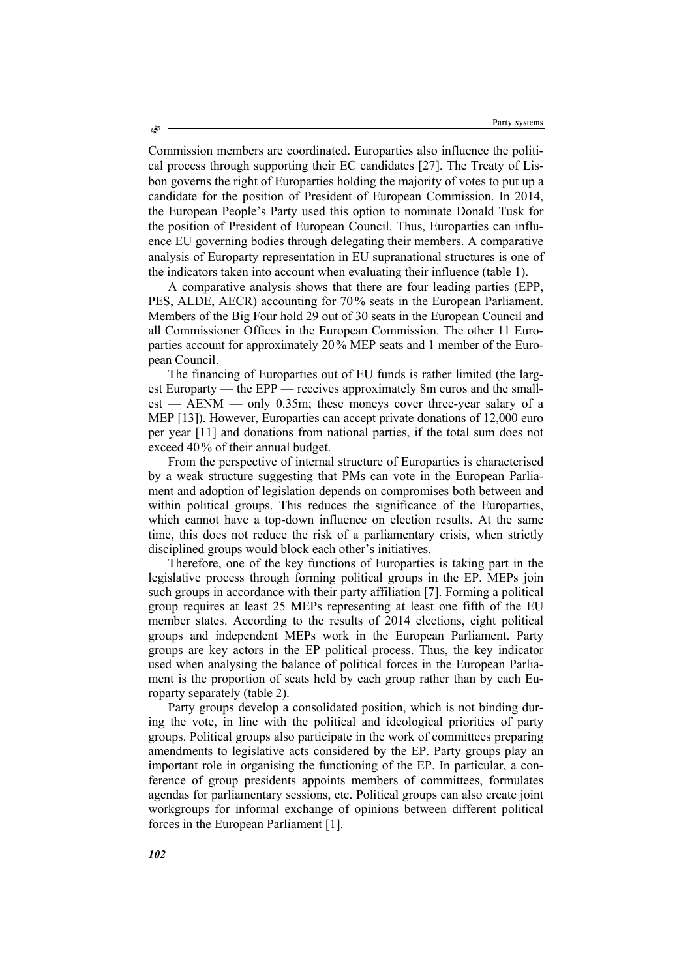Commission members are coordinated. Europarties also influence the political process through supporting their EC candidates [27]. The Treaty of Lisbon governs the right of Europarties holding the majority of votes to put up a candidate for the position of President of European Commission. In 2014, the European People's Party used this option to nominate Donald Tusk for the position of President of European Council. Thus, Europarties can influence EU governing bodies through delegating their members. A comparative analysis of Europarty representation in EU supranational structures is one of the indicators taken into account when evaluating their influence (table 1).

A comparative analysis shows that there are four leading parties (EPP, PES, ALDE, AECR) accounting for 70% seats in the European Parliament. Members of the Big Four hold 29 out of 30 seats in the European Council and all Commissioner Offices in the European Commission. The other 11 Europarties account for approximately 20% MEP seats and 1 member of the European Council.

The financing of Europarties out of EU funds is rather limited (the largest Europarty — the EPP — receives approximately 8m euros and the smallest — AENM — only 0.35m; these moneys cover three-year salary of a MEP [13]). However, Europarties can accept private donations of 12,000 euro per year [11] and donations from national parties, if the total sum does not exceed 40% of their annual budget.

From the perspective of internal structure of Europarties is characterised by a weak structure suggesting that PMs can vote in the European Parliament and adoption of legislation depends on compromises both between and within political groups. This reduces the significance of the Europarties, which cannot have a top-down influence on election results. At the same time, this does not reduce the risk of a parliamentary crisis, when strictly disciplined groups would block each other's initiatives.

Therefore, one of the key functions of Europarties is taking part in the legislative process through forming political groups in the EP. MEPs join such groups in accordance with their party affiliation [7]. Forming a political group requires at least 25 MEPs representing at least one fifth of the EU member states. According to the results of 2014 elections, eight political groups and independent MEPs work in the European Parliament. Party groups are key actors in the EP political process. Thus, the key indicator used when analysing the balance of political forces in the European Parliament is the proportion of seats held by each group rather than by each Europarty separately (table 2).

Party groups develop a consolidated position, which is not binding during the vote, in line with the political and ideological priorities of party groups. Political groups also participate in the work of committees preparing amendments to legislative acts considered by the EP. Party groups play an important role in organising the functioning of the EP. In particular, a conference of group presidents appoints members of committees, formulates agendas for parliamentary sessions, etc. Political groups can also create joint workgroups for informal exchange of opinions between different political forces in the European Parliament [1].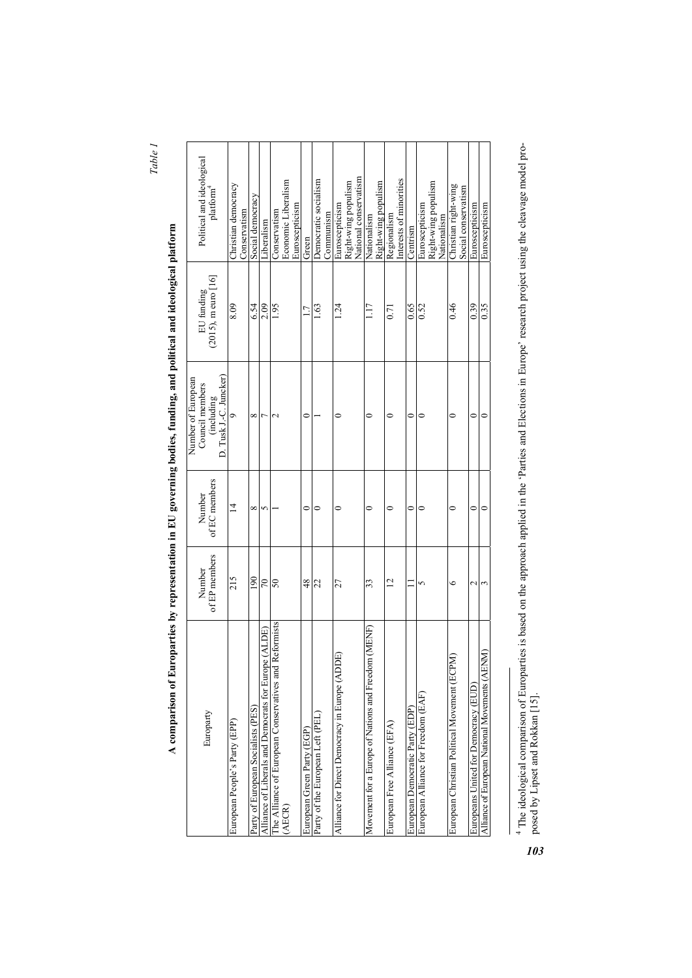*Table 1* 

| $\ddot{\phantom{a}}$ |  |
|----------------------|--|
|                      |  |
|                      |  |
|                      |  |
|                      |  |
|                      |  |
|                      |  |
|                      |  |
| י                    |  |
|                      |  |
| ĺ                    |  |
|                      |  |
|                      |  |
|                      |  |
|                      |  |
|                      |  |
|                      |  |
|                      |  |
|                      |  |
|                      |  |
|                      |  |
|                      |  |
|                      |  |
|                      |  |
|                      |  |
|                      |  |
|                      |  |
|                      |  |
|                      |  |
|                      |  |
|                      |  |
|                      |  |
|                      |  |
| j                    |  |
|                      |  |
|                      |  |
|                      |  |
|                      |  |
|                      |  |
|                      |  |
|                      |  |
|                      |  |
|                      |  |
|                      |  |
|                      |  |
|                      |  |
|                      |  |
|                      |  |
|                      |  |
|                      |  |
|                      |  |
|                      |  |
|                      |  |
|                      |  |
|                      |  |
|                      |  |
|                      |  |
|                      |  |
|                      |  |
|                      |  |
| $\overline{a}$       |  |
|                      |  |
|                      |  |
|                      |  |
|                      |  |
|                      |  |
|                      |  |
|                      |  |
|                      |  |
|                      |  |
|                      |  |
|                      |  |
|                      |  |
| I                    |  |

| Political and ideological<br>platform <sup>4</sup>                            | Christian democracy<br>Conservatism | Social democracy                   | Liberalism                                              | Conservatism                                          | Economic Liberalism | Euroscepticism | Green                      | Democratic socialism             | Communism | Euroscepticism                                 | Right-wing populism | National conservatism | Nationalism                                         | Right-wing populism | Regionalism                  | Interests of minorities | Centrism                        | Euroscepticism                     | Right-wing populism | Nationalism | Christian right-wing                        | Social conservatism | Euroscepticism                       | Euroscepticism                                 |  |
|-------------------------------------------------------------------------------|-------------------------------------|------------------------------------|---------------------------------------------------------|-------------------------------------------------------|---------------------|----------------|----------------------------|----------------------------------|-----------|------------------------------------------------|---------------------|-----------------------|-----------------------------------------------------|---------------------|------------------------------|-------------------------|---------------------------------|------------------------------------|---------------------|-------------|---------------------------------------------|---------------------|--------------------------------------|------------------------------------------------|--|
| $(2015)$ , m euro $[16]$<br>EU funding                                        | 8.09                                | 6.54                               | 2.09                                                    | 1.95                                                  |                     |                |                            | 1.63                             |           | 1.24                                           |                     |                       | 117                                                 |                     | 0.71                         |                         | 0.65                            | 0.52                               |                     |             | 0.46                                        |                     | 0.39                                 | 0.35                                           |  |
| D. Tusk J.-C. Juncker)<br>Number of European<br>Council members<br>(including | ô                                   | ∞                                  | r                                                       |                                                       |                     |                | 0                          |                                  |           | 0                                              |                     |                       | 0                                                   |                     | 0                            |                         | $\circ$                         |                                    |                     |             | 0                                           |                     | $\mathbf{\mathsf{C}}$                | 0                                              |  |
| of EC members<br>Number                                                       | $\overline{14}$                     | ∞                                  | 5                                                       |                                                       |                     |                | 0                          | 0                                |           | 0                                              |                     |                       | 0                                                   |                     | 0                            |                         | $\mathbf{\circ}$                |                                    |                     |             | 0                                           |                     | $\mathsf{C}$                         | 0                                              |  |
| of EP members<br>Number                                                       | 215                                 | 190                                | $\overline{70}$                                         | 50                                                    |                     |                | $\frac{8}{4}$              | 22                               |           | 27                                             |                     |                       | 33                                                  |                     | $\overline{2}$               |                         | $\Box$                          |                                    |                     |             | ∘                                           |                     | $\mathbf{\sim}$                      | 3                                              |  |
| Europarty                                                                     | European People's Party (EPP)       | Party of European Socialists (PES) | (ALDE)<br>Alliance of Liberals and Democrats for Europe | The Alliance of European Conservatives and Reformists | (AECR)              |                | European Green Party (EGP) | Party of the European Left (PEL) |           | Alliance for Direct Democracy in Europe (ADDE) |                     |                       | Movement for a Europe of Nations and Freedom (MENF) |                     | European Free Alliance (EFA) |                         | European Democratic Party (EDP) | European Alliance for Freedom (EAF |                     |             | European Christian Political Movement (ECPM |                     | Europeans United for Democracy (EUD) | Alliance of European National Movements (AENM) |  |

<sup>4</sup> The ideological comparison of Europarties is based on the approach applied in the 'Parties and Elections in Europe' research project using the cleavage model pro-<br>posed by Lipset and Rokkan [15]. 4 The ideological comparison of Europarties is based on the approach applied in the 'Parties and Elections in Europe' research project using the cleavage model proposed by Lipset and Rokkan [15].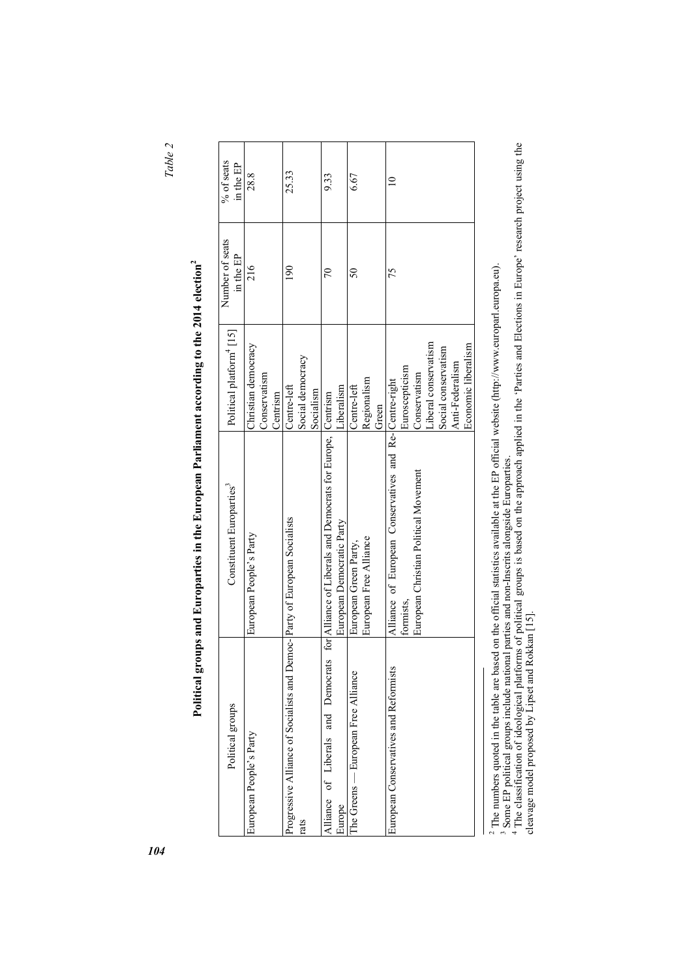*Table 2* 

 $\cdot$ 

| I<br>l           |
|------------------|
| i                |
|                  |
|                  |
| )<br>j<br>l      |
| I                |
|                  |
| l<br>į<br>ļ      |
|                  |
|                  |
|                  |
| l<br>ļ           |
|                  |
| I<br>į<br>١<br>I |
| Ì<br>∝           |
|                  |

| Political groups                                                           | Constituent Europarties <sup>3</sup>                        | Political platform <sup>4</sup> [15] | Number of seats<br>in the $EP$ | % of seats<br>in the $EP$ |
|----------------------------------------------------------------------------|-------------------------------------------------------------|--------------------------------------|--------------------------------|---------------------------|
| European People's Party                                                    | European People's Party                                     | Christian democracy                  | 216                            | 28.8                      |
|                                                                            |                                                             | Conservatism                         |                                |                           |
|                                                                            |                                                             | Centrism                             |                                |                           |
| Progressive Alliance of Socialists and Democ- Party of European Socialists |                                                             | Centre-left                          | $\frac{1}{2}$                  | 25.33                     |
| rats                                                                       |                                                             | Social democracy                     |                                |                           |
|                                                                            |                                                             | Socialism                            |                                |                           |
| Alliance of Liberals and Democrats                                         | for Alliance of Liberals and Democrats for Europe, Centrism |                                      | 70                             | 9.33                      |
| Europe                                                                     | European Democratic Party                                   | Liberalism                           |                                |                           |
| The Greens — European Free Alliance                                        | European Green Party,                                       | Centre-left                          | 50                             | 6.67                      |
|                                                                            | European Free Alliance                                      | Regionalism                          |                                |                           |
|                                                                            |                                                             | Green                                |                                |                           |
| European Conservatives and Reformists                                      | Alliance of European Conservatives and Re-Centre-right      |                                      | 75                             |                           |
|                                                                            | formists,                                                   | Euroscepticism                       |                                |                           |
|                                                                            | European Christian Political Movement                       | Conservatism                         |                                |                           |
|                                                                            |                                                             | Liberal conservatism                 |                                |                           |
|                                                                            |                                                             | Social conservatism                  |                                |                           |
|                                                                            |                                                             | Anti-Federalism                      |                                |                           |
|                                                                            |                                                             | Economic liberalism                  |                                |                           |
|                                                                            |                                                             |                                      |                                |                           |

<sup>2</sup> The numbers quoted in the table are based on the official statistics available at the EP official website (http://www.europarl.europa.eu).<br><sup>3</sup> Some EP political groups include national parties and non-Inscrits alongsid

<sup>2</sup> The numbers quoted in the table are based on the official statistics available at the EP official website (http://www.europarl.europa.eu).<br><sup>3</sup> Some EP political groups include national parties and non-Inscrits alongsid cleavage model proposed by Lipset and Rokkan [15].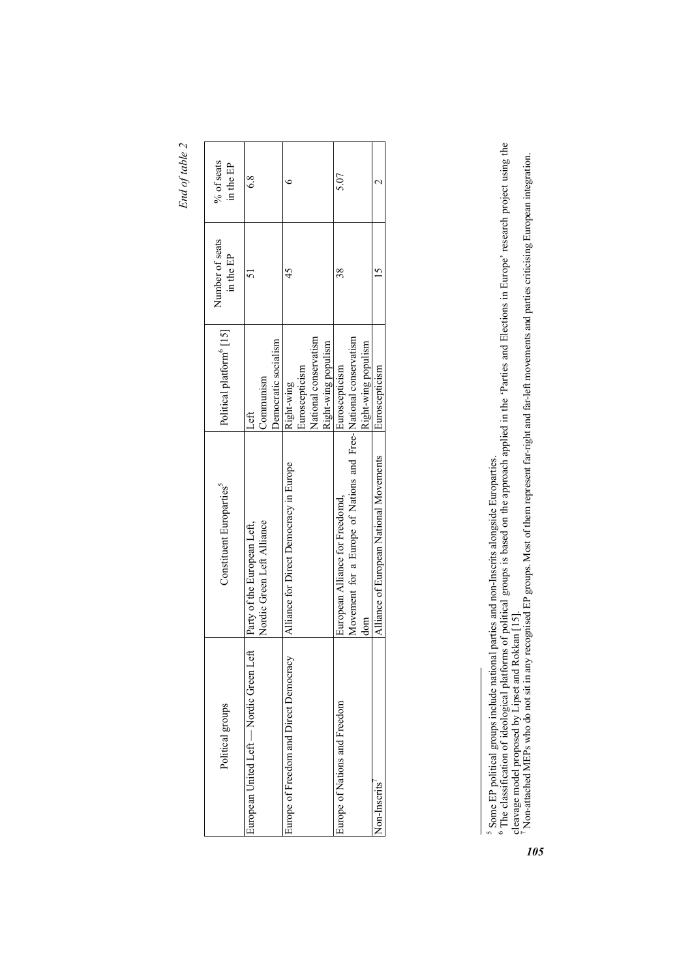End of table 2 *End of table 2* 

| Political groups                        | Constituent Europarties <sup>5</sup>                            | Political platform <sup>6</sup> [15] | Number of seats<br>in the EP | % of seats<br>in the EP |
|-----------------------------------------|-----------------------------------------------------------------|--------------------------------------|------------------------------|-------------------------|
| European United Left — Nordic Green Let | Party of the European Left,                                     | $_{\rm 1.0}$                         |                              | $\frac{8}{6}$           |
|                                         | Nordic Green Left Alliance                                      | Communism                            |                              |                         |
|                                         |                                                                 | Democratic socialism                 |                              |                         |
| Europe of Freedom and Direct Democracy  | Alliance for Direct Democracy in Europe                         | Right-wing                           |                              |                         |
|                                         |                                                                 | Euroscepticism                       |                              |                         |
|                                         |                                                                 | National conservatism                |                              |                         |
|                                         |                                                                 | Right-wing populism                  |                              |                         |
| Europe of Nations and Freedom           | European Alliance for Freedomd,                                 | Euroscepticism                       | şχ                           | 5.07                    |
|                                         | Movement for a Europe of Nations and Free-National conservatism |                                      |                              |                         |
|                                         | dom                                                             | Right-wing populism                  |                              |                         |
| Non-Inscrits                            | Alliance of European National Movements                         | Euroscepticism                       |                              |                         |
|                                         |                                                                 |                                      |                              |                         |

<sup>&</sup>lt;sup>5</sup> Some EP political groups include national parties and non-Inscrits alongside Europarties.<br><sup>6</sup> The classification of ideological platforms of political groups is based on the approach applied in the 'Parties and Electi <sup>5</sup> Some EP political groups include national parties and non-Inscrits alongside Europarties.<br><sup>6</sup> The classification of ideological platforms of political groups is based on the approach applied in the 'Parties and Electio

cleavage model proposed by Lipset and Rokkan [15].<br>7 Non-attached MEPs who do not sit in any recognised EP groups. Most of them represent far-right and far-left movements and parties criticising European integration.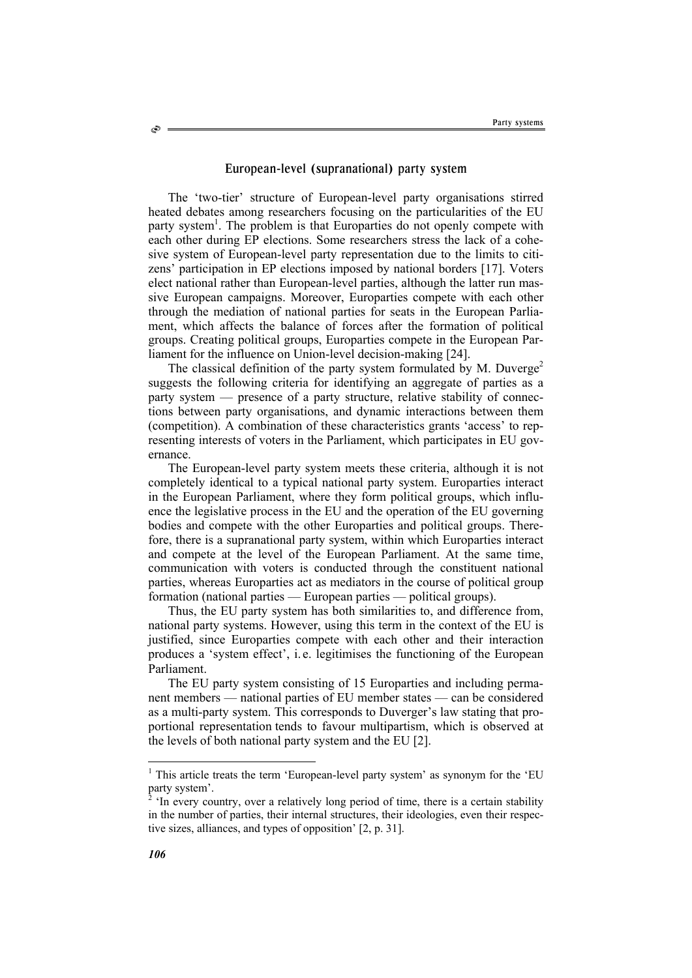## European-level (supranational) party system

The 'two-tier' structure of European-level party organisations stirred heated debates among researchers focusing on the particularities of the EU party system<sup>1</sup>. The problem is that Europarties do not openly compete with each other during EP elections. Some researchers stress the lack of a cohesive system of European-level party representation due to the limits to citizens' participation in EP elections imposed by national borders [17]. Voters elect national rather than European-level parties, although the latter run massive European campaigns. Moreover, Europarties compete with each other through the mediation of national parties for seats in the European Parliament, which affects the balance of forces after the formation of political groups. Creating political groups, Europarties compete in the European Parliament for the influence on Union-level decision-making [24].

The classical definition of the party system formulated by M. Duverge<sup>2</sup> suggests the following criteria for identifying an aggregate of parties as a party system — presence of a party structure, relative stability of connections between party organisations, and dynamic interactions between them (competition). A combination of these characteristics grants 'access' to representing interests of voters in the Parliament, which participates in EU governance.

The European-level party system meets these criteria, although it is not completely identical to a typical national party system. Europarties interact in the European Parliament, where they form political groups, which influence the legislative process in the EU and the operation of the EU governing bodies and compete with the other Europarties and political groups. Therefore, there is a supranational party system, within which Europarties interact and compete at the level of the European Parliament. At the same time, communication with voters is conducted through the constituent national parties, whereas Europarties act as mediators in the course of political group formation (national parties — European parties — political groups).

Thus, the EU party system has both similarities to, and difference from, national party systems. However, using this term in the context of the EU is justified, since Europarties compete with each other and their interaction produces a 'system effect', i. e. legitimises the functioning of the European Parliament.

The EU party system consisting of 15 Europarties and including permanent members — national parties of EU member states — can be considered as a multi-party system. This corresponds to Duverger's law stating that proportional representation tends to favour multipartism, which is observed at the levels of both national party system and the EU [2].

Ò

 1 This article treats the term 'European-level party system' as synonym for the 'EU party system'.

<sup>&</sup>lt;sup>2</sup> 'In every country, over a relatively long period of time, there is a certain stability in the number of parties, their internal structures, their ideologies, even their respective sizes, alliances, and types of opposition' [2, p. 31].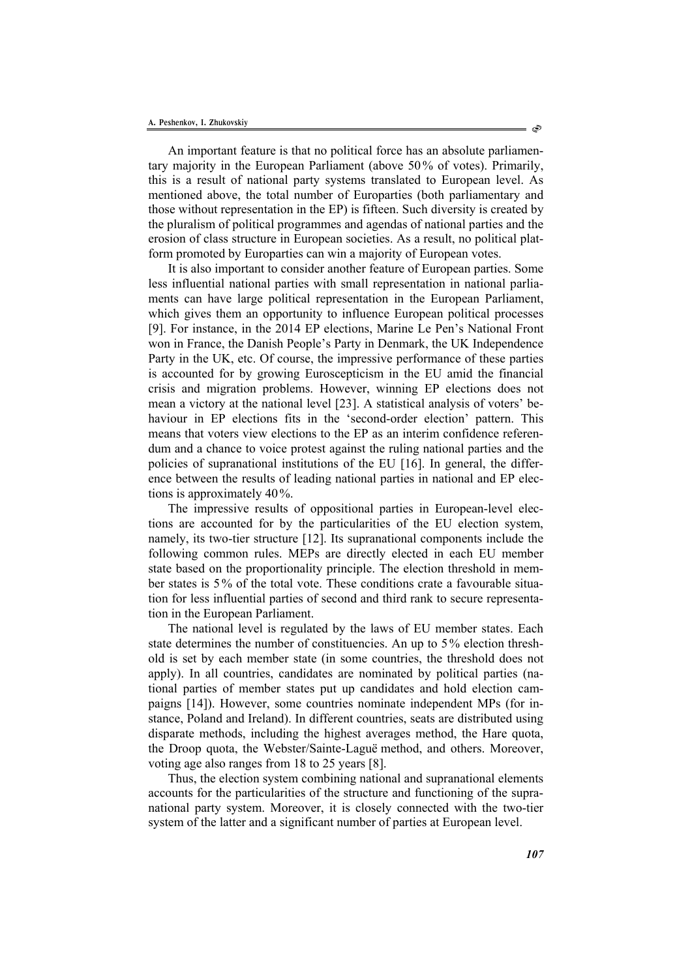An important feature is that no political force has an absolute parliamentary majority in the European Parliament (above 50% of votes). Primarily, this is a result of national party systems translated to European level. As mentioned above, the total number of Europarties (both parliamentary and those without representation in the EP) is fifteen. Such diversity is created by the pluralism of political programmes and agendas of national parties and the erosion of class structure in European societies. As a result, no political platform promoted by Europarties can win a majority of European votes.

It is also important to consider another feature of European parties. Some less influential national parties with small representation in national parliaments can have large political representation in the European Parliament, which gives them an opportunity to influence European political processes [9]. For instance, in the 2014 EP elections, Marine Le Pen's National Front won in France, the Danish People's Party in Denmark, the UK Independence Party in the UK, etc. Of course, the impressive performance of these parties is accounted for by growing Euroscepticism in the EU amid the financial crisis and migration problems. However, winning EP elections does not mean a victory at the national level [23]. A statistical analysis of voters' behaviour in EP elections fits in the 'second-order election' pattern. This means that voters view elections to the EP as an interim confidence referendum and a chance to voice protest against the ruling national parties and the policies of supranational institutions of the EU [16]. In general, the difference between the results of leading national parties in national and EP elections is approximately 40%.

The impressive results of oppositional parties in European-level elections are accounted for by the particularities of the EU election system, namely, its two-tier structure [12]. Its supranational components include the following common rules. MEPs are directly elected in each EU member state based on the proportionality principle. The election threshold in member states is 5% of the total vote. These conditions crate a favourable situation for less influential parties of second and third rank to secure representation in the European Parliament.

The national level is regulated by the laws of EU member states. Each state determines the number of constituencies. An up to 5% election threshold is set by each member state (in some countries, the threshold does not apply). In all countries, candidates are nominated by political parties (national parties of member states put up candidates and hold election campaigns [14]). However, some countries nominate independent MPs (for instance, Poland and Ireland). In different countries, seats are distributed using disparate methods, including the highest averages method, the Hare quota, the Droop quota, the Webster/Sainte-Laguë method, and others. Moreover, voting age also ranges from 18 to 25 years [8].

Thus, the election system combining national and supranational elements accounts for the particularities of the structure and functioning of the supranational party system. Moreover, it is closely connected with the two-tier system of the latter and a significant number of parties at European level.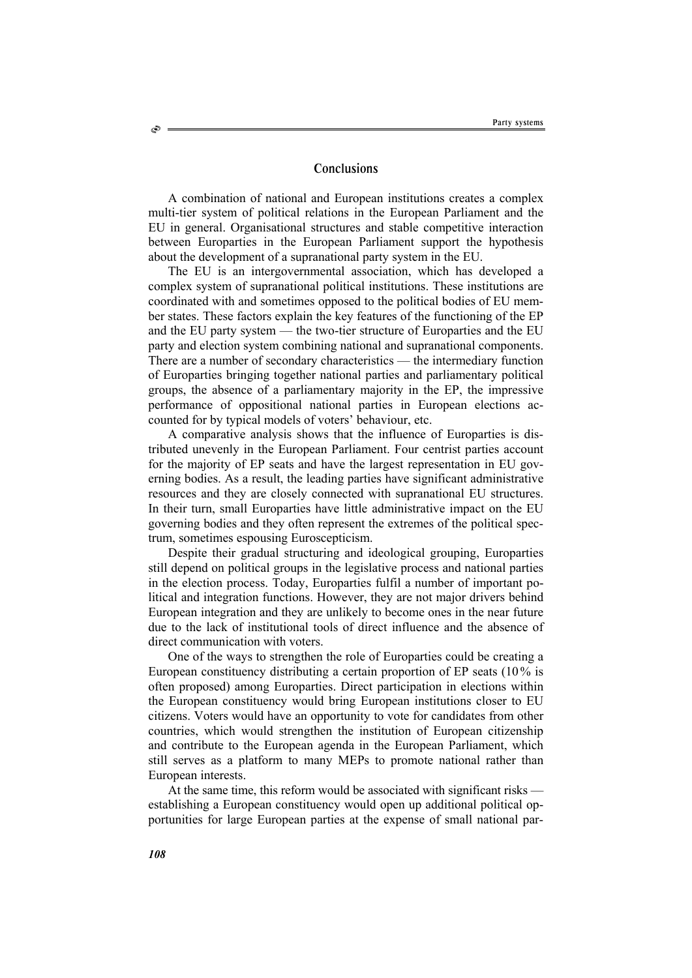# **Conclusions**

A combination of national and European institutions creates a complex multi-tier system of political relations in the European Parliament and the EU in general. Organisational structures and stable competitive interaction between Europarties in the European Parliament support the hypothesis about the development of a supranational party system in the EU.

The EU is an intergovernmental association, which has developed a complex system of supranational political institutions. These institutions are coordinated with and sometimes opposed to the political bodies of EU member states. These factors explain the key features of the functioning of the EP and the EU party system — the two-tier structure of Europarties and the EU party and election system combining national and supranational components. There are a number of secondary characteristics — the intermediary function of Europarties bringing together national parties and parliamentary political groups, the absence of a parliamentary majority in the EP, the impressive performance of oppositional national parties in European elections accounted for by typical models of voters' behaviour, etc.

A comparative analysis shows that the influence of Europarties is distributed unevenly in the European Parliament. Four centrist parties account for the majority of EP seats and have the largest representation in EU governing bodies. As a result, the leading parties have significant administrative resources and they are closely connected with supranational EU structures. In their turn, small Europarties have little administrative impact on the EU governing bodies and they often represent the extremes of the political spectrum, sometimes espousing Euroscepticism.

Despite their gradual structuring and ideological grouping, Europarties still depend on political groups in the legislative process and national parties in the election process. Today, Europarties fulfil a number of important political and integration functions. However, they are not major drivers behind European integration and they are unlikely to become ones in the near future due to the lack of institutional tools of direct influence and the absence of direct communication with voters.

One of the ways to strengthen the role of Europarties could be creating a European constituency distributing a certain proportion of EP seats (10% is often proposed) among Europarties. Direct participation in elections within the European constituency would bring European institutions closer to EU citizens. Voters would have an opportunity to vote for candidates from other countries, which would strengthen the institution of European citizenship and contribute to the European agenda in the European Parliament, which still serves as a platform to many MEPs to promote national rather than European interests.

At the same time, this reform would be associated with significant risks establishing a European constituency would open up additional political opportunities for large European parties at the expense of small national par-

S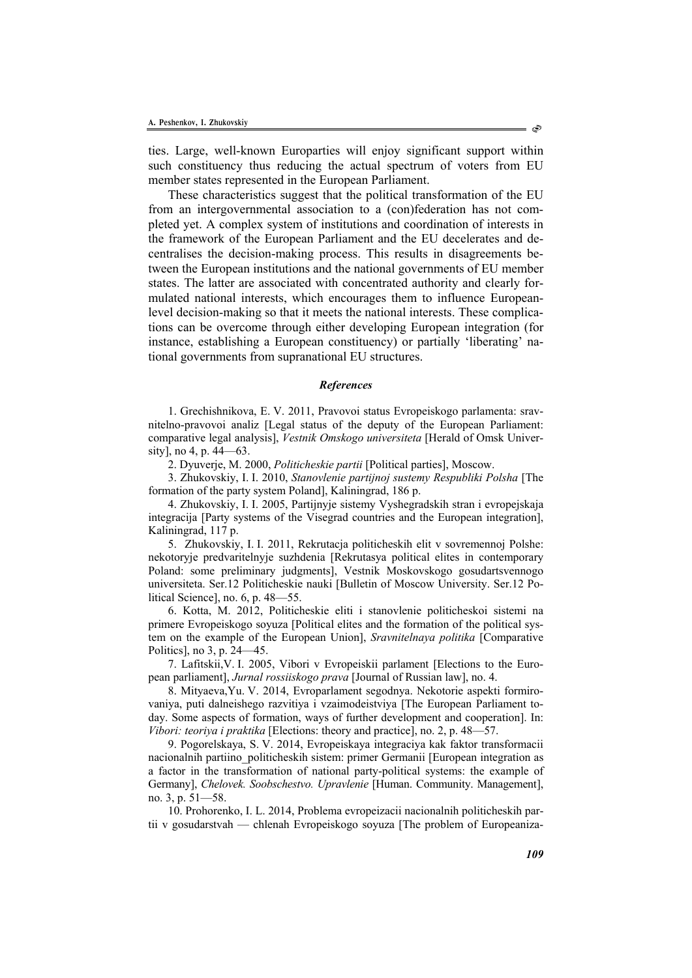ties. Large, well-known Europarties will enjoy significant support within such constituency thus reducing the actual spectrum of voters from EU member states represented in the European Parliament.

These characteristics suggest that the political transformation of the EU from an intergovernmental association to a (con)federation has not completed yet. A complex system of institutions and coordination of interests in the framework of the European Parliament and the EU decelerates and decentralises the decision-making process. This results in disagreements between the European institutions and the national governments of EU member states. The latter are associated with concentrated authority and clearly formulated national interests, which encourages them to influence Europeanlevel decision-making so that it meets the national interests. These complications can be overcome through either developing European integration (for instance, establishing a European constituency) or partially 'liberating' national governments from supranational EU structures.

### *References*

1. Grechishnikova, E. V. 2011, Pravovoi status Evropeiskogo parlamenta: sravnitelno-pravovoi analiz [Legal status of the deputy of the European Parliament: comparative legal analysis], *Vestnik Omskogo universiteta* [Herald of Omsk University], no 4, p. 44—63.

2. Dyuverje, M. 2000, *Politicheskie partii* [Political parties], Moscow.

3. Zhukovskiy, I. I. 2010, *Stanovlenie partijnoj sustemy Respubliki Polsha* [The formation of the party system Poland], Kaliningrad, 186 p.

4. Zhukovskiy, I. I. 2005, Partijnyje sistemy Vyshegradskih stran i evropejskaja integracija [Party systems of the Visegrad countries and the European integration], Kaliningrad, 117 p.

5. Zhukovskiy, I. I. 2011, Rekrutacja politicheskih elit v sovremennoj Polshe: nekotoryje predvaritelnyje suzhdenia [Rekrutasya political elites in contemporary Poland: some preliminary judgments], Vestnik Moskovskogo gosudartsvennogo universiteta. Ser.12 Politicheskie nauki [Bulletin of Moscow University. Ser.12 Political Science], no. 6, p. 48—55.

6. Kotta, M. 2012, Politicheskie eliti i stanovlenie politicheskoi sistemi na primere Evropeiskogo soyuza [Political elites and the formation of the political system on the example of the European Union], *Sravnitelnaya politika* [Comparative Politics], no 3, p. 24—45.

7. Lafitskii,V. I. 2005, Vibori v Evropeiskii parlament [Elections to the European parliament], *Jurnal rossiiskogo prava* [Journal of Russian law], no. 4.

8. Mityaeva,Yu. V. 2014, Evroparlament segodnya. Nekotorie aspekti formirovaniya, puti dalneishego razvitiya i vzaimodeistviya [The European Parliament today. Some aspects of formation, ways of further development and cooperation]. In: *Vibori: teoriya i praktika* [Elections: theory and practice], no. 2, p. 48—57.

9. Pogorelskaya, S. V. 2014, Evropeiskaya integraciya kak faktor transformacii nacionalnih partiino\_politicheskih sistem: primer Germanii [European integration as a factor in the transformation of national party-political systems: the example of Germany], *Chelovek. Soobschestvo. Upravlenie* [Human. Community. Management], no. 3, p. 51—58.

10. Prohorenko, I. L. 2014, Problema evropeizacii nacionalnih politicheskih partii v gosudarstvah — chlenah Evropeiskogo soyuza [The problem of Europeaniza-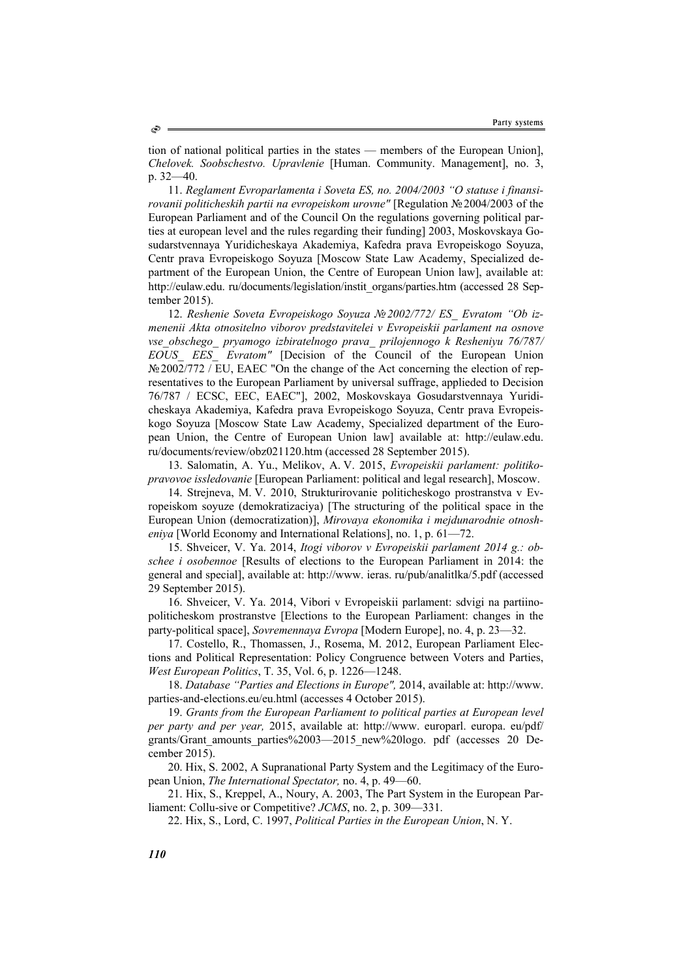tion of national political parties in the states — members of the European Union], *Chelovek. Soobschestvo. Upravlenie* [Human. Community. Management], no. 3, p. 32—40.

11. *Reglament Evroparlamenta i Soveta ES, no. 2004/2003 "O statuse i finansirovanii politicheskih partii na evropeiskom urovne"* [Regulation №2004/2003 of the European Parliament and of the Council On the regulations governing political parties at european level and the rules regarding their funding] 2003, Moskovskaya Gosudarstvennaya Yuridicheskaya Akademiya, Kafedra prava Evropeiskogo Soyuza, Centr prava Evropeiskogo Soyuza [Moscow State Law Academy, Specialized department of the European Union, the Centre of European Union law], available at: http://eulaw.edu. ru/documents/legislation/instit\_organs/parties.htm (accessed 28 September 2015).

12. *Reshenie Soveta Evropeiskogo Soyuza №2002/772/ ES\_ Evratom "Ob izmenenii Akta otnositelno viborov predstavitelei v Evropeiskii parlament na osnove vse\_obschego\_ pryamogo izbiratelnogo prava\_ prilojennogo k Resheniyu 76/787/ EOUS\_ EES\_ Evratom"* [Decision of the Council of the European Union  $\mathbb{N}\mathbb{E}2002/772$  / EU, EAEC "On the change of the Act concerning the election of representatives to the European Parliament by universal suffrage, applieded to Decision 76/787 / ECSC, EEC, EAEC"], 2002, Moskovskaya Gosudarstvennaya Yuridicheskaya Akademiya, Kafedra prava Evropeiskogo Soyuza, Centr prava Evropeiskogo Soyuza [Moscow State Law Academy, Specialized department of the European Union, the Centre of European Union law] available at: http://eulaw.edu. ru/documents/review/obz021120.htm (accessed 28 September 2015).

13. Salomatin, A. Yu., Melikov, A. V. 2015, *Evropeiskii parlament: politikopravovoe issledovanie* [European Parliament: political and legal research], Moscow.

14. Strejneva, M. V. 2010, Strukturirovanie politicheskogo prostranstva v Evropeiskom soyuze (demokratizaciya) [The structuring of the political space in the European Union (democratization)], *Mirovaya ekonomika i mejdunarodnie otnosheniya* [World Economy and International Relations], no. 1, p. 61—72.

15. Shveicer, V. Ya. 2014, *Itogi viborov v Evropeiskii parlament 2014 g.: obschee i osobennoe* [Results of elections to the European Parliament in 2014: the general and special], available at: http://www. ieras. ru/pub/analitlka/5.pdf (accessed 29 September 2015).

16. Shveicer, V. Ya. 2014, Vibori v Evropeiskii parlament: sdvigi na partiinopoliticheskom prostranstve [Elections to the European Parliament: changes in the party-political space], *Sovremennaya Evropa* [Modern Europe], no. 4, p. 23—32.

17. Costello, R., Thomassen, J., Rosema, M. 2012, European Parliament Elections and Political Representation: Policy Congruence between Voters and Parties, *West European Politics*, T. 35, Vol. 6, p. 1226—1248.

18. *Database "Parties and Elections in Europe",* 2014, available at: http://www. parties-and-elections.eu/eu.html (accesses 4 October 2015).

19. *Grants from the European Parliament to political parties at European level per party and per year,* 2015, available at: http://www. europarl. europa. eu/pdf/ grants/Grant\_amounts\_parties%2003—2015\_new%20logo. pdf (accesses 20 December 2015).

20. Hix, S. 2002, A Supranational Party System and the Legitimacy of the European Union, *The International Spectator,* no. 4, p. 49—60.

21. Hix, S., Kreppel, A., Noury, A. 2003, The Part System in the European Parliament: Collu-sive or Competitive? *JCMS*, no. 2, p. 309—331.

22. Hix, S., Lord, C. 1997, *Political Parties in the European Union*, N. Y.